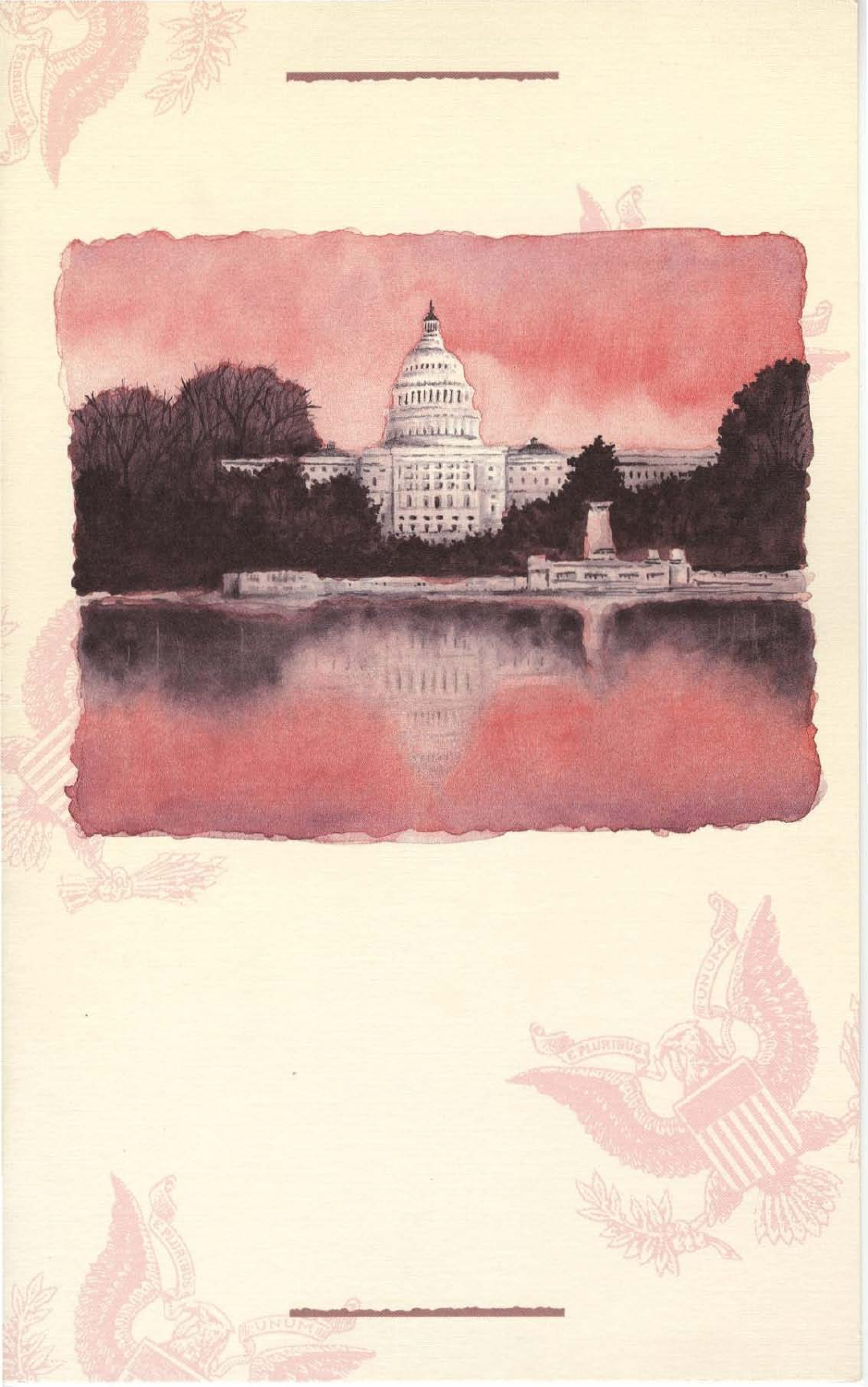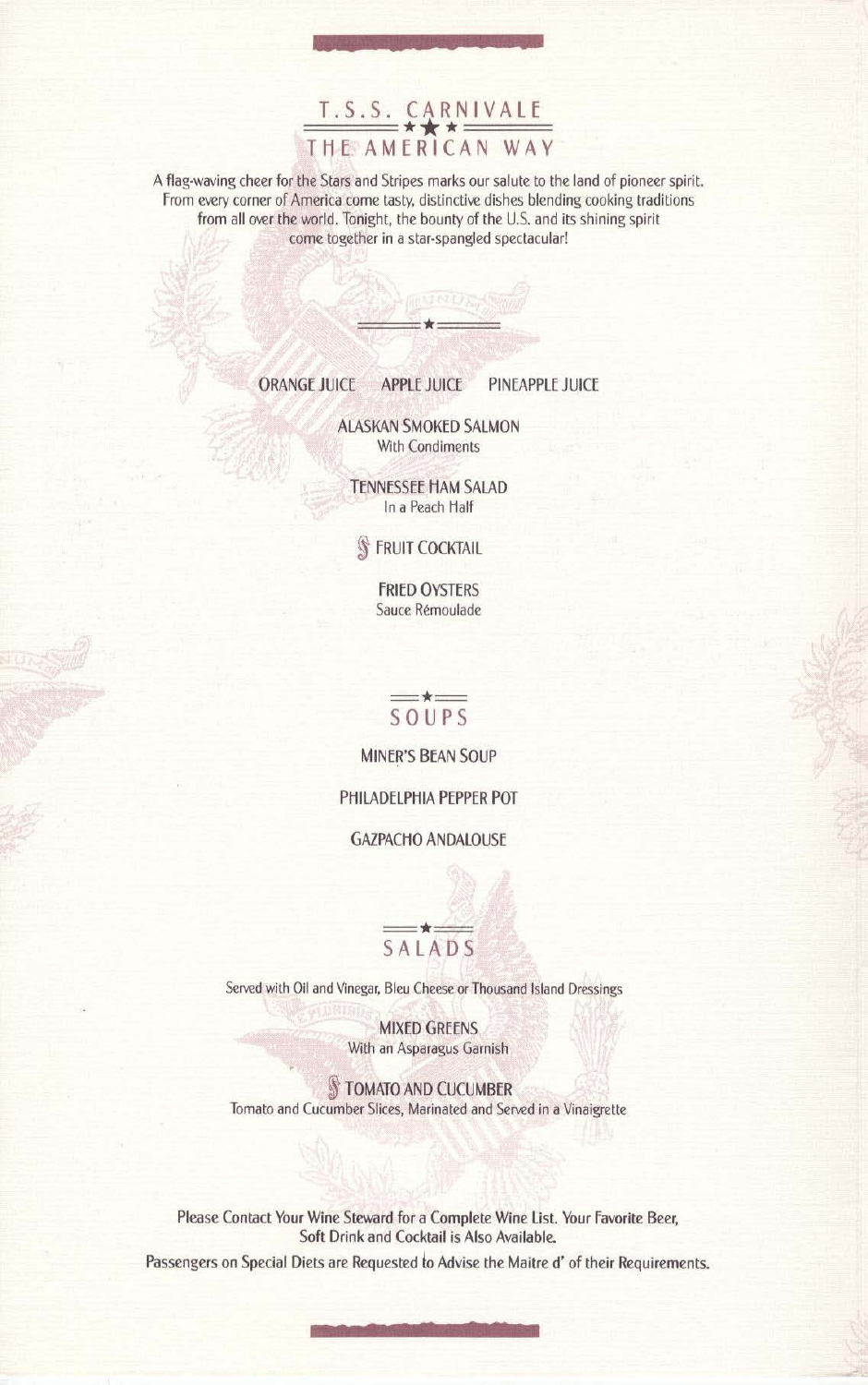

A flag-waving cheer for the Stars and Stripes marks our salute to the land of pioneer spirit. From every corner of America come tasty, distinctive dishes blending cooking traditions from all over the world. Tonight, the bounty of the U.S. and its shining spirit come together in a star-spangled spectacular!

 $\begin{picture}(180,10) \put(0,0){\line(1,0){100}} \put(15,0){\line(1,0){100}} \put(15,0){\line(1,0){100}} \put(15,0){\line(1,0){100}} \put(15,0){\line(1,0){100}} \put(15,0){\line(1,0){100}} \put(15,0){\line(1,0){100}} \put(15,0){\line(1,0){100}} \put(15,0){\line(1,0){100}} \put(15,0){\line(1,0){100}} \put(15,0){\line(1,0){100}}$ 

ORANGE JUICE APPLE JUICE PINEAPPLE JUICE

ALASKAN SMOKED SALMON With Condiments

TENNESSEE HAM SALAD In a Peach Half

FRUIT COCKTAIL

fRIED OYSTERS Sauce Rémoulade

> $\equiv$ \* $\equiv$ SOU PS

MINER'S BEAN SOUP

### PHILADElPHIA PEPPER POT

GAZPACHO ANDALOUSE

# $=$  \* $=$ SALADS

Served with Oil and Vinegar, Bleu Cheese or Thousand Island Dressings

MIXED GREENS With an Asparagus Garnish

**STOMATO AND CUCUMBER** Tomato and Cucumber Slices, Marinated and Served in a Vinaigrette

Please Contact Your Wine Steward for a Complete Wine List. Your Favorite Beer, Soft Drink and Cocktail is Also Available.

Passengers on Special Diets are Requested to Advise the Maitre d' of their Requirements.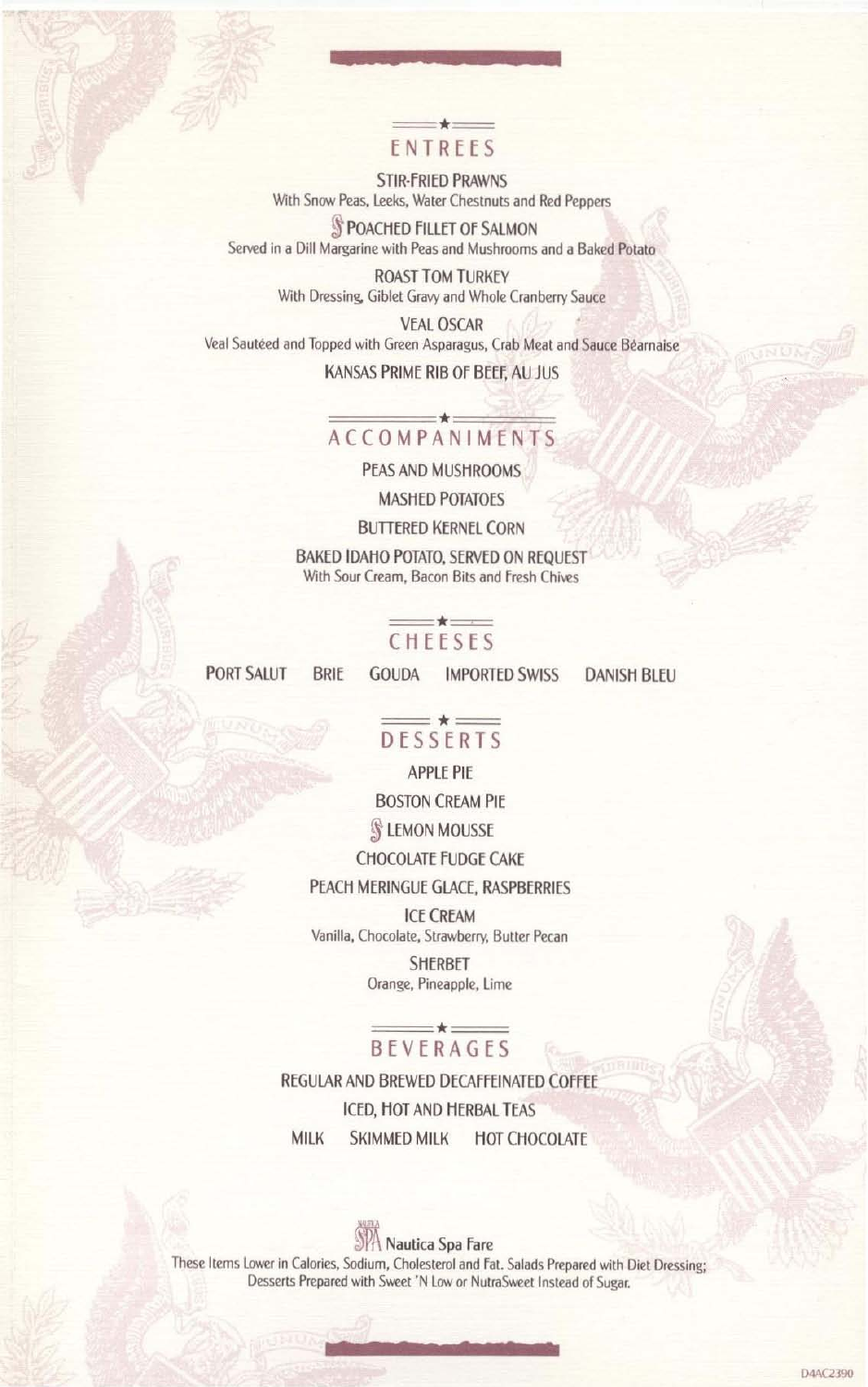# ENTREES

 $=$ \* $-$ 

**STIR-FRIED PRAWNS** With Snow Peas, Leeks, Water Chestnuts and Red Peppers

POACHED FILLET OF SALMON Served in a Dill Margarine with Peas and Mushrooms and a Baked Potato

> **ROAST TOM TURKEY** With Dressing, Giblet Gravy and Whole Cranberry Sauce

**VEAL OSCAR** Veal Sautéed and Topped with Green Asparagus, Crab Meat and Sauce Béarnaise KANSAS PRIME RIB OF BEEF, AU JUS

# **ACCOMPANIMENTS**

PEAS AND MUSHROOMS **MASHED POTATOES BUTTERED KERNEL CORN** 

BAKED IDAHO POTATO, SERVED ON REQUEST With Sour Cream, Bacon Bits and Fresh Chives

# $-$ \* $-$ CHEESES

**PORT SALUT BRIE**  **GOUDA IMPORTED SWISS** 

**DANISH BLEU** 

### $=$   $\star$   $=$ **DESSERTS**

**APPLE PIE BOSTON CREAM PIE SLEMON MOUSSE CHOCOLATE FUDGE CAKE** PEACH MERINGUE GLACE, RASPBERRIES **ICE CREAM** 

Vanilla, Chocolate, Strawberry, Butter Pecan

**SHERBET** Orange, Pineapple, Lime

### $\overline{\phantom{m}}\star\overline{\phantom{m}}$ **BEVERAGES**

REGULAR AND BREWED DECAFFEINATED COFFEE ICED, HOT AND HERBAL TEAS **MILK** SKIMMED MILK HOT CHOCOLATE

Nautica Spa Fare These Items Lower in Calories, Sodium, Cholesterol and Fat. Salads Prepared with Diet Dressing; Desserts Prepared with Sweet 'N Low or NutraSweet Instead of Sugar.